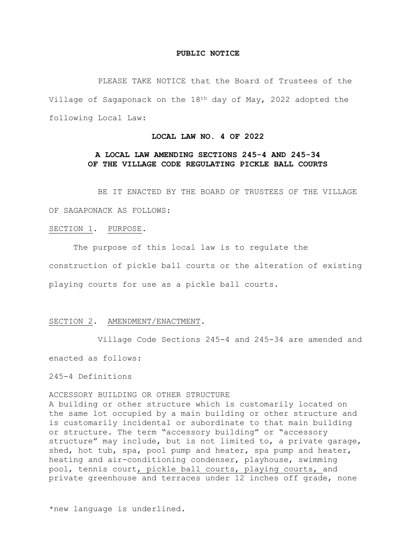#### **PUBLIC NOTICE**

PLEASE TAKE NOTICE that the Board of Trustees of the Village of Sagaponack on the 18th day of May, 2022 adopted the following Local Law:

## **LOCAL LAW NO. 4 OF 2022**

# **A LOCAL LAW AMENDING SECTIONS 245-4 AND 245-34 OF THE VILLAGE CODE REGULATING PICKLE BALL COURTS**

BE IT ENACTED BY THE BOARD OF TRUSTEES OF THE VILLAGE

OF SAGAPONACK AS FOLLOWS:

# SECTION 1. PURPOSE.

The purpose of this local law is to regulate the construction of pickle ball courts or the alteration of existing playing courts for use as a pickle ball courts.

#### SECTION 2. AMENDMENT/ENACTMENT.

Village Code Sections 245-4 and 245-34 are amended and enacted as follows:

245-4 Definitions

ACCESSORY BUILDING OR OTHER STRUCTURE

A building or other structure which is customarily located on the same lot occupied by a main building or other structure and is customarily incidental or subordinate to that main building or structure. The term "accessory building" or "accessory structure" may include, but is not limited to, a private garage, shed, hot tub, spa, pool pump and heater, spa pump and heater, heating and air-conditioning condenser, playhouse, swimming pool, tennis court, pickle ball courts, playing courts, and private greenhouse and terraces under 12 inches off grade, none

\*new language is underlined.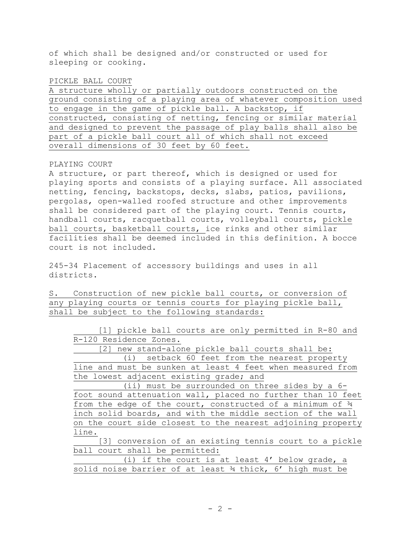of which shall be designed and/or constructed or used for sleeping or cooking.

## PICKLE BALL COURT

A structure wholly or partially outdoors constructed on the ground consisting of a playing area of whatever composition used to engage in the game of pickle ball. A backstop, if constructed, consisting of netting, fencing or similar material and designed to prevent the passage of play balls shall also be part of a pickle ball court all of which shall not exceed overall dimensions of 30 feet by 60 feet.

## PLAYING COURT

A structure, or part thereof, which is designed or used for playing sports and consists of a playing surface. All associated netting, fencing, backstops, decks, slabs, patios, pavilions, pergolas, open-walled roofed structure and other improvements shall be considered part of the playing court. Tennis courts, handball courts, racquetball courts, volleyball courts, pickle ball courts, basketball courts, ice rinks and other similar facilities shall be deemed included in this definition. A bocce court is not included.

245-34 Placement of accessory buildings and uses in all districts.

S. Construction of new pickle ball courts, or conversion of any playing courts or tennis courts for playing pickle ball, shall be subject to the following standards:

[1] pickle ball courts are only permitted in R-80 and R-120 Residence Zones.

[2] new stand-alone pickle ball courts shall be: (i) setback 60 feet from the nearest property line and must be sunken at least 4 feet when measured from the lowest adjacent existing grade; and

(ii) must be surrounded on three sides by a 6 foot sound attenuation wall, placed no further than 10 feet from the edge of the court, constructed of a minimum of ¾ inch solid boards, and with the middle section of the wall on the court side closest to the nearest adjoining property line.

[3] conversion of an existing tennis court to a pickle ball court shall be permitted:

|                                                           |  |  | (i) if the court is at least 4' below grade, a |  |  |  |
|-----------------------------------------------------------|--|--|------------------------------------------------|--|--|--|
| solid noise barrier of at least 34 thick, 6' high must be |  |  |                                                |  |  |  |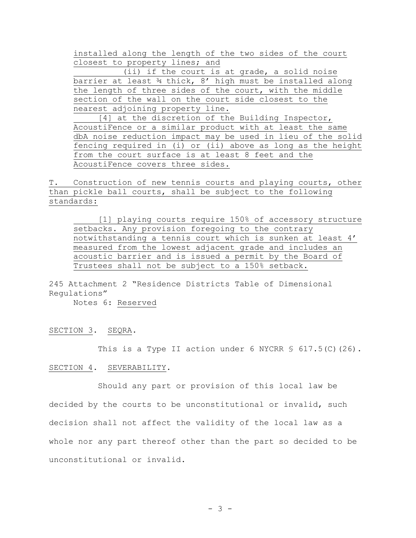installed along the length of the two sides of the court closest to property lines; and

(ii) if the court is at grade, a solid noise barrier at least 34 thick, 8' high must be installed along the length of three sides of the court, with the middle section of the wall on the court side closest to the nearest adjoining property line.

[4] at the discretion of the Building Inspector, AcoustiFence or a similar product with at least the same dbA noise reduction impact may be used in lieu of the solid fencing required in (i) or (ii) above as long as the height from the court surface is at least 8 feet and the AcoustiFence covers three sides.

T. Construction of new tennis courts and playing courts, other than pickle ball courts, shall be subject to the following standards:

[1] playing courts require 150% of accessory structure setbacks. Any provision foregoing to the contrary notwithstanding a tennis court which is sunken at least 4' measured from the lowest adjacent grade and includes an acoustic barrier and is issued a permit by the Board of Trustees shall not be subject to a 150% setback.

245 Attachment 2 "Residence Districts Table of Dimensional Regulations"

Notes 6: Reserved

SECTION 3. SEQRA.

This is a Type II action under 6 NYCRR  $$617.5(C) (26)$ .

#### SECTION 4. SEVERABILITY.

Should any part or provision of this local law be decided by the courts to be unconstitutional or invalid, such decision shall not affect the validity of the local law as a whole nor any part thereof other than the part so decided to be unconstitutional or invalid.